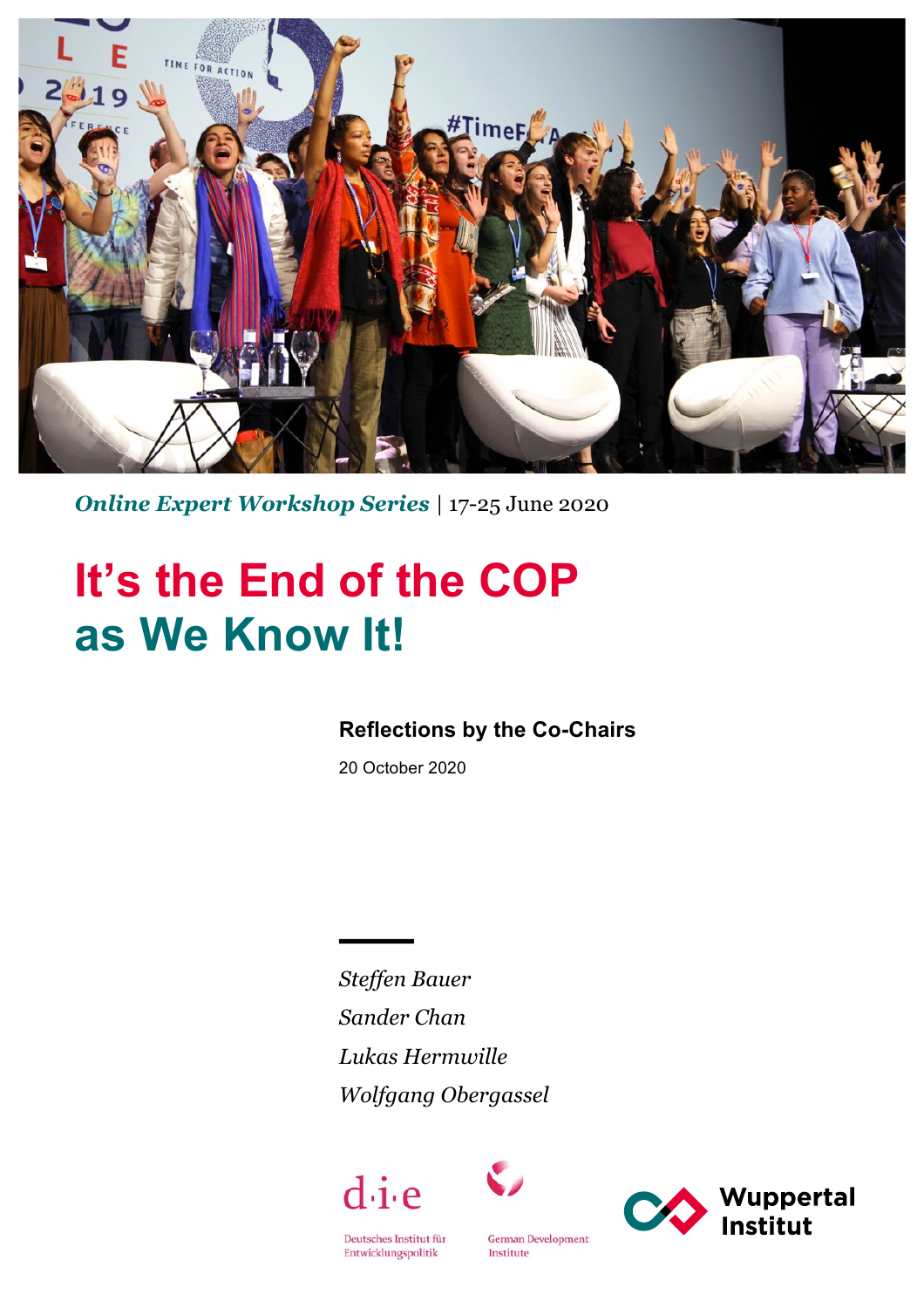

*Online Expert Workshop Series |* 17-25 June 2020

# **It's the End of the COP as We Know It!**

## **Reflections by the Co-Chairs**

20 October 2020

*Steffen Bauer Sander Chan Lukas Hermwille Wolfgang Obergassel*





Deutsches Institut für  ${\small\texttt{Entwicklungspolitik}}$ 

**German Development** Institute

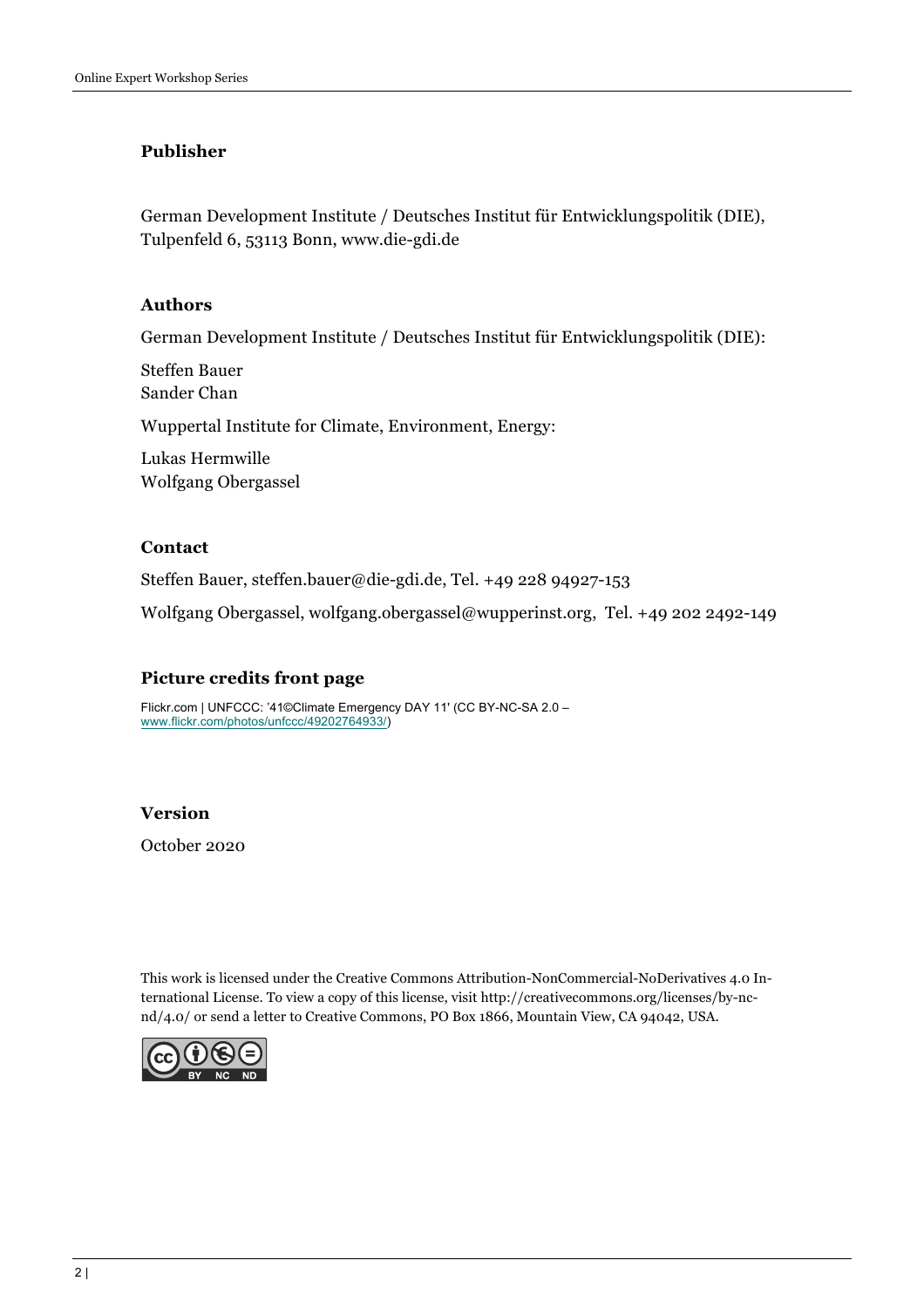#### **Publisher**

German Development Institute / Deutsches Institut für Entwicklungspolitik (DIE), Tulpenfeld 6, 53113 Bonn, www.die-gdi.de

#### **Authors**

German Development Institute / Deutsches Institut für Entwicklungspolitik (DIE):

Steffen Bauer Sander Chan Wuppertal Institute for Climate, Environment, Energy: Lukas Hermwille Wolfgang Obergassel

#### **Contact**

Steffen Bauer, steffen.bauer@die-gdi.de, Tel. +49 228 94927-153

Wolfgang Obergassel, wolfgang.obergassel@wupperinst.org, Tel. +49 202 2492-149

#### **Picture credits front page**

Flickr.com | UNFCCC: '41©Climate Emergency DAY 11' (CC BY-NC-SA 2.0 – www.flickr.com/photos/unfccc/49202764933/)

#### **Version**

October 2020

This work is licensed under the Creative Commons Attribution-NonCommercial-NoDerivatives 4.0 International License. To view a copy of this license, visit http://creativecommons.org/licenses/by-ncnd/4.0/ or send a letter to Creative Commons, PO Box 1866, Mountain View, CA 94042, USA.

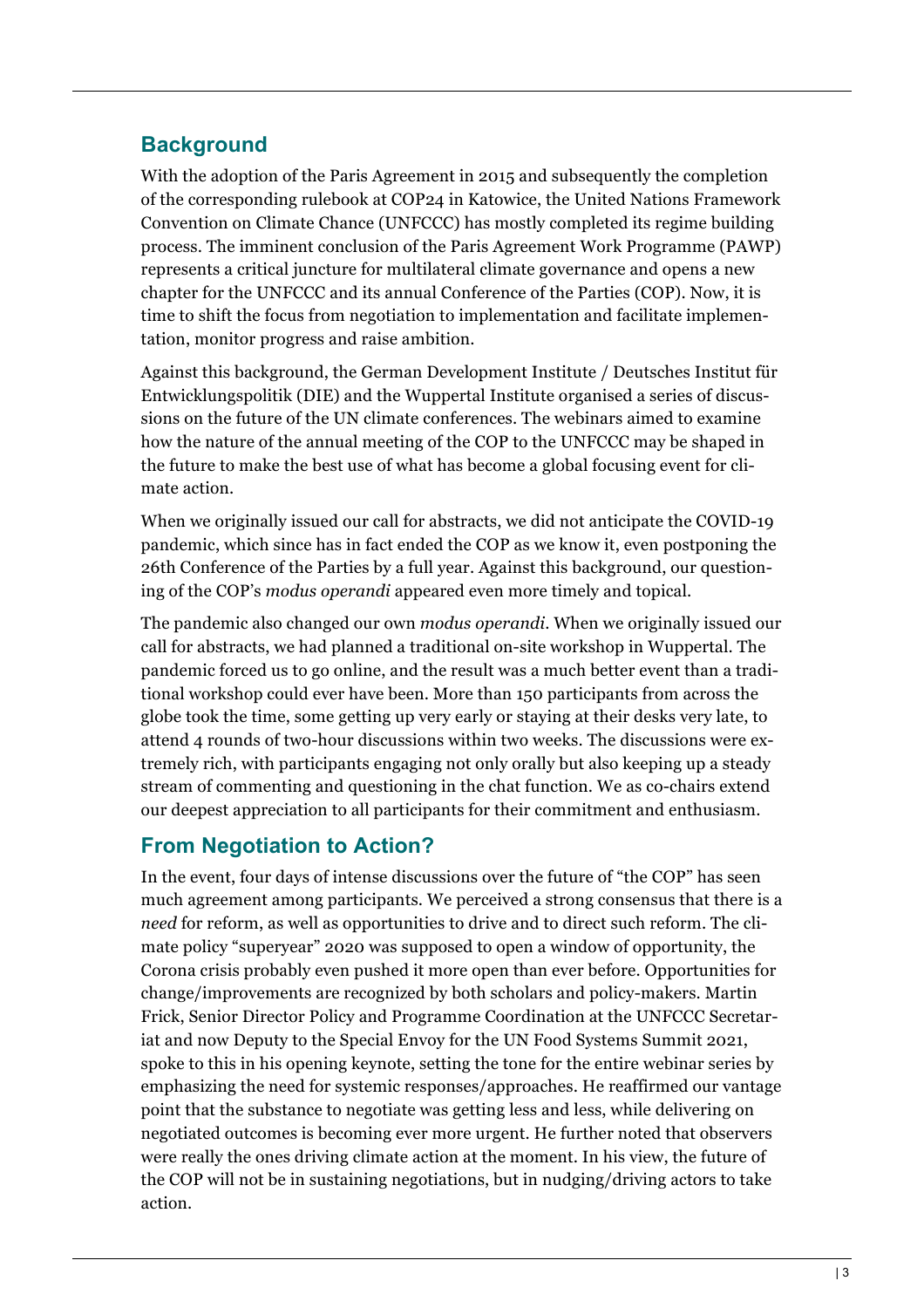## **Background**

With the adoption of the Paris Agreement in 2015 and subsequently the completion of the corresponding rulebook at COP24 in Katowice, the United Nations Framework Convention on Climate Chance (UNFCCC) has mostly completed its regime building process. The imminent conclusion of the Paris Agreement Work Programme (PAWP) represents a critical juncture for multilateral climate governance and opens a new chapter for the UNFCCC and its annual Conference of the Parties (COP). Now, it is time to shift the focus from negotiation to implementation and facilitate implementation, monitor progress and raise ambition.

Against this background, the German Development Institute / Deutsches Institut für Entwicklungspolitik (DIE) and the Wuppertal Institute organised a series of discussions on the future of the UN climate conferences. The webinars aimed to examine how the nature of the annual meeting of the COP to the UNFCCC may be shaped in the future to make the best use of what has become a global focusing event for climate action.

When we originally issued our call for abstracts, we did not anticipate the COVID-19 pandemic, which since has in fact ended the COP as we know it, even postponing the 26th Conference of the Parties by a full year. Against this background, our questioning of the COP's *modus operandi* appeared even more timely and topical.

The pandemic also changed our own *modus operandi*. When we originally issued our call for abstracts, we had planned a traditional on-site workshop in Wuppertal. The pandemic forced us to go online, and the result was a much better event than a traditional workshop could ever have been. More than 150 participants from across the globe took the time, some getting up very early or staying at their desks very late, to attend 4 rounds of two-hour discussions within two weeks. The discussions were extremely rich, with participants engaging not only orally but also keeping up a steady stream of commenting and questioning in the chat function. We as co-chairs extend our deepest appreciation to all participants for their commitment and enthusiasm.

## **From Negotiation to Action?**

In the event, four days of intense discussions over the future of "the COP" has seen much agreement among participants. We perceived a strong consensus that there is a *need* for reform, as well as opportunities to drive and to direct such reform. The climate policy "superyear" 2020 was supposed to open a window of opportunity, the Corona crisis probably even pushed it more open than ever before. Opportunities for change/improvements are recognized by both scholars and policy-makers. Martin Frick, Senior Director Policy and Programme Coordination at the UNFCCC Secretariat and now Deputy to the Special Envoy for the UN Food Systems Summit 2021, spoke to this in his opening keynote, setting the tone for the entire webinar series by emphasizing the need for systemic responses/approaches. He reaffirmed our vantage point that the substance to negotiate was getting less and less, while delivering on negotiated outcomes is becoming ever more urgent. He further noted that observers were really the ones driving climate action at the moment. In his view, the future of the COP will not be in sustaining negotiations, but in nudging/driving actors to take action.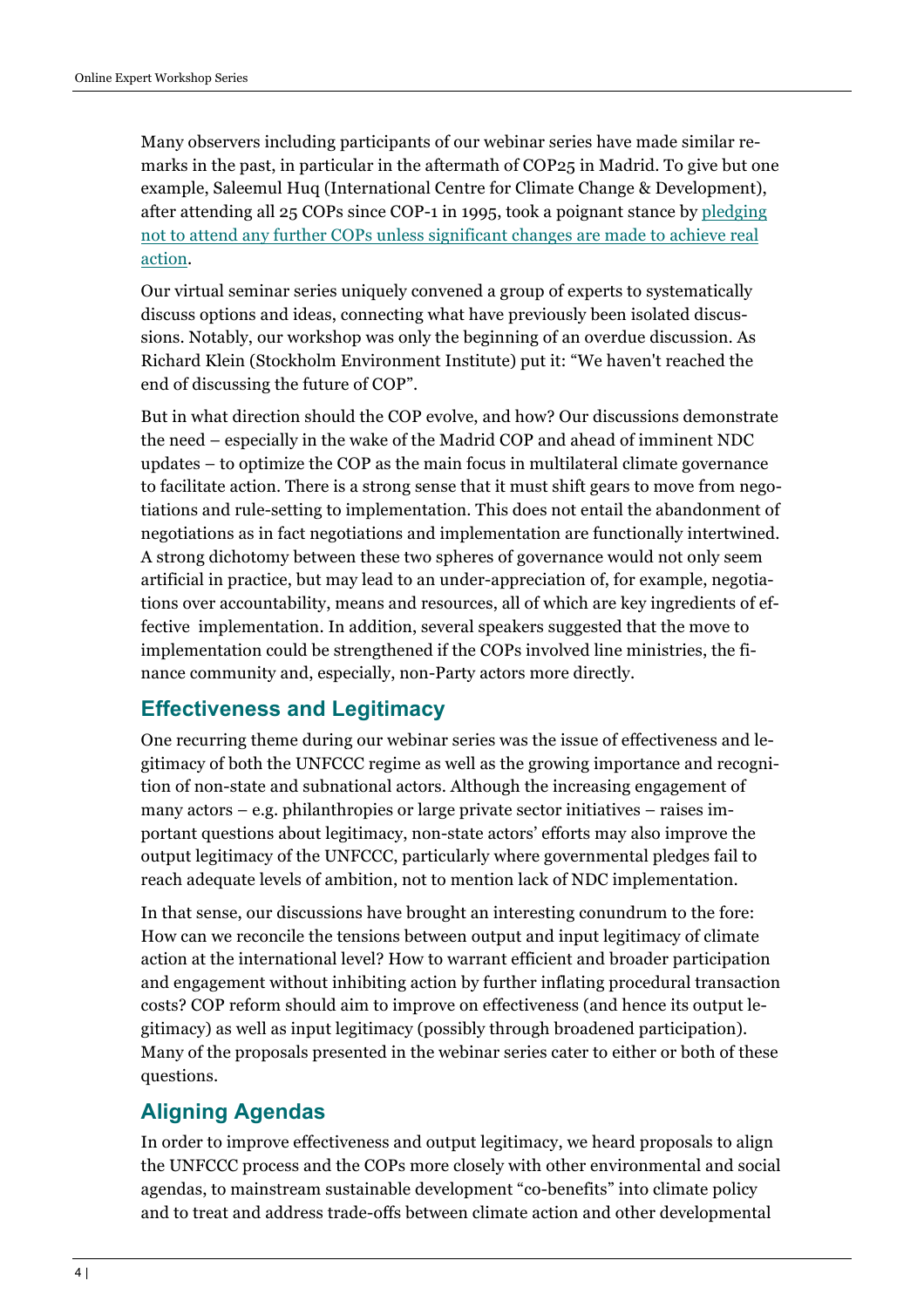Many observers including participants of our webinar series have made similar remarks in the past, in particular in the aftermath of COP25 in Madrid. To give but one example, Saleemul Huq (International Centre for Climate Change & Development), after attending all 25 COPs since COP-1 in 1995, took a poignant stance by pledging not to attend any further COPs unless significant changes are made to achieve real action.

Our virtual seminar series uniquely convened a group of experts to systematically discuss options and ideas, connecting what have previously been isolated discussions. Notably, our workshop was only the beginning of an overdue discussion. As Richard Klein (Stockholm Environment Institute) put it: "We haven't reached the end of discussing the future of COP".

But in what direction should the COP evolve, and how? Our discussions demonstrate the need – especially in the wake of the Madrid COP and ahead of imminent NDC updates – to optimize the COP as the main focus in multilateral climate governance to facilitate action. There is a strong sense that it must shift gears to move from negotiations and rule-setting to implementation. This does not entail the abandonment of negotiations as in fact negotiations and implementation are functionally intertwined. A strong dichotomy between these two spheres of governance would not only seem artificial in practice, but may lead to an under-appreciation of, for example, negotiations over accountability, means and resources, all of which are key ingredients of effective implementation. In addition, several speakers suggested that the move to implementation could be strengthened if the COPs involved line ministries, the finance community and, especially, non-Party actors more directly.

## **Effectiveness and Legitimacy**

One recurring theme during our webinar series was the issue of effectiveness and legitimacy of both the UNFCCC regime as well as the growing importance and recognition of non-state and subnational actors. Although the increasing engagement of many actors  $-$  e.g. philanthropies or large private sector initiatives  $-$  raises important questions about legitimacy, non-state actors' efforts may also improve the output legitimacy of the UNFCCC, particularly where governmental pledges fail to reach adequate levels of ambition, not to mention lack of NDC implementation.

In that sense, our discussions have brought an interesting conundrum to the fore: How can we reconcile the tensions between output and input legitimacy of climate action at the international level? How to warrant efficient and broader participation and engagement without inhibiting action by further inflating procedural transaction costs? COP reform should aim to improve on effectiveness (and hence its output legitimacy) as well as input legitimacy (possibly through broadened participation). Many of the proposals presented in the webinar series cater to either or both of these questions.

## **Aligning Agendas**

In order to improve effectiveness and output legitimacy, we heard proposals to align the UNFCCC process and the COPs more closely with other environmental and social agendas, to mainstream sustainable development "co-benefits" into climate policy and to treat and address trade-offs between climate action and other developmental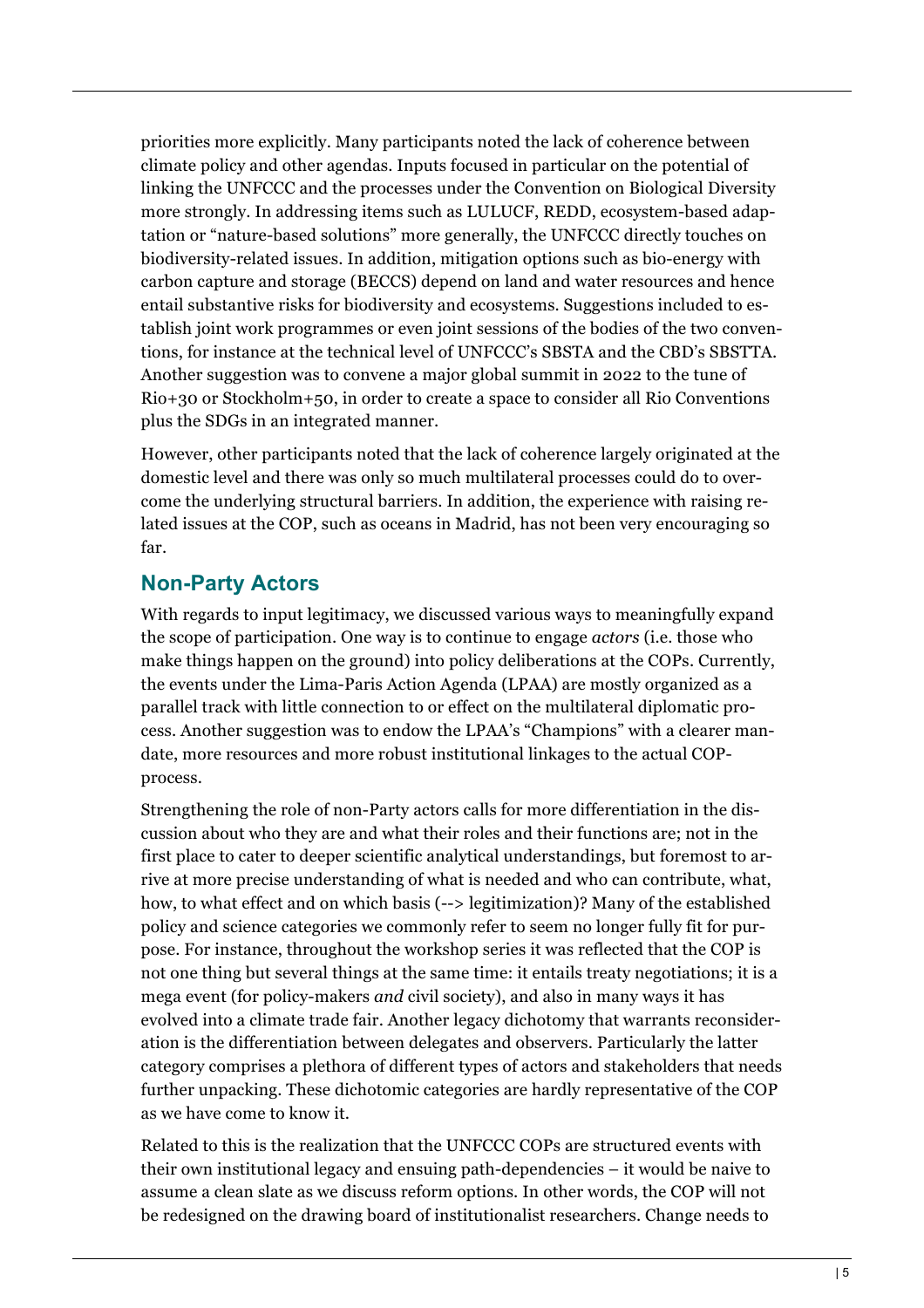priorities more explicitly. Many participants noted the lack of coherence between climate policy and other agendas. Inputs focused in particular on the potential of linking the UNFCCC and the processes under the Convention on Biological Diversity more strongly. In addressing items such as LULUCF, REDD, ecosystem-based adaptation or "nature-based solutions" more generally, the UNFCCC directly touches on biodiversity-related issues. In addition, mitigation options such as bio-energy with carbon capture and storage (BECCS) depend on land and water resources and hence entail substantive risks for biodiversity and ecosystems. Suggestions included to establish joint work programmes or even joint sessions of the bodies of the two conventions, for instance at the technical level of UNFCCC's SBSTA and the CBD's SBSTTA. Another suggestion was to convene a major global summit in 2022 to the tune of Rio+30 or Stockholm+50, in order to create a space to consider all Rio Conventions plus the SDGs in an integrated manner.

However, other participants noted that the lack of coherence largely originated at the domestic level and there was only so much multilateral processes could do to overcome the underlying structural barriers. In addition, the experience with raising related issues at the COP, such as oceans in Madrid, has not been very encouraging so far.

### **Non-Party Actors**

With regards to input legitimacy, we discussed various ways to meaningfully expand the scope of participation. One way is to continue to engage *actors* (i.e. those who make things happen on the ground) into policy deliberations at the COPs. Currently, the events under the Lima-Paris Action Agenda (LPAA) are mostly organized as a parallel track with little connection to or effect on the multilateral diplomatic process. Another suggestion was to endow the LPAA's "Champions" with a clearer mandate, more resources and more robust institutional linkages to the actual COPprocess.

Strengthening the role of non-Party actors calls for more differentiation in the discussion about who they are and what their roles and their functions are; not in the first place to cater to deeper scientific analytical understandings, but foremost to arrive at more precise understanding of what is needed and who can contribute, what, how, to what effect and on which basis (--> legitimization)? Many of the established policy and science categories we commonly refer to seem no longer fully fit for purpose. For instance, throughout the workshop series it was reflected that the COP is not one thing but several things at the same time: it entails treaty negotiations; it is a mega event (for policy-makers *and* civil society), and also in many ways it has evolved into a climate trade fair. Another legacy dichotomy that warrants reconsideration is the differentiation between delegates and observers. Particularly the latter category comprises a plethora of different types of actors and stakeholders that needs further unpacking. These dichotomic categories are hardly representative of the COP as we have come to know it.

Related to this is the realization that the UNFCCC COPs are structured events with their own institutional legacy and ensuing path-dependencies – it would be naive to assume a clean slate as we discuss reform options. In other words, the COP will not be redesigned on the drawing board of institutionalist researchers. Change needs to